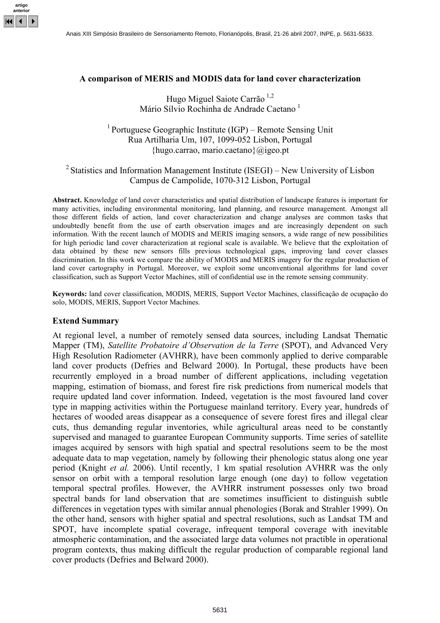

### A comparison of MERIS and MODIS data for land cover characterization

### Hugo Miguel Saiote Carrão <sup>1,2</sup> Mário Sílvio Rochinha de Andrade Caetano<sup>1</sup>

# <sup>1</sup> Portuguese Geographic Institute (IGP) – Remote Sensing Unit Rua Artilharia Um, 107, 1099-052 Lisbon, Portugal  ${\hbox{hugo.carrao, mario.cactano}}$  $@jgeo.pt$

## <sup>2</sup> Statistics and Information Management Institute (ISEGI) – New University of Lisbon Campus de Campolide, 1070-312 Lisbon, Portugal

Abstract. Knowledge of land cover characteristics and spatial distribution of landscape features is important for many activities, including environmental monitoring, land planning, and resource management. Amongst all those different fields of action, land cover characterization and change analyses are common tasks that undoubtedly benefit from the use of earth observation images and are increasingly dependent on such information. With the recent launch of MODIS and MERIS imaging sensors, a wide range of new possibilities for high periodic land cover characterization at regional scale is available. We believe that the exploitation of data obtained by these new sensors fills previous technological gaps, improving land cover classes discrimination. In this work we compare the ability of MODIS and MERIS imagery for the regular production of land cover cartography in Portugal. Moreover, we exploit some unconventional algorithms for land cover classification, such as Support Vector Machines, still of confidential use in the remote sensing community.

Keywords: land cover classification, MODIS, MERIS, Support Vector Machines, classificação de ocupação do solo, MODIS, MERIS, Support Vector Machines.

### Extend Summary

At regional level, a number of remotely sensed data sources, including Landsat Thematic Mapper (TM), Satellite Probatoire d'Observation de la Terre (SPOT), and Advanced Very High Resolution Radiometer (AVHRR), have been commonly applied to derive comparable land cover products (Defries and Belward 2000). In Portugal, these products have been recurrently employed in a broad number of different applications, including vegetation mapping, estimation of biomass, and forest fire risk predictions from numerical models that require updated land cover information. Indeed, vegetation is the most favoured land cover type in mapping activities within the Portuguese mainland territory. Every year, hundreds of hectares of wooded areas disappear as a consequence of severe forest fires and illegal clear cuts, thus demanding regular inventories, while agricultural areas need to be constantly supervised and managed to guarantee European Community supports. Time series of satellite images acquired by sensors with high spatial and spectral resolutions seem to be the most adequate data to map vegetation, namely by following their phenologic status along one year period (Knight et al. 2006). Until recently, 1 km spatial resolution AVHRR was the only sensor on orbit with a temporal resolution large enough (one day) to follow vegetation temporal spectral profiles. However, the AVHRR instrument possesses only two broad spectral bands for land observation that are sometimes insufficient to distinguish subtle differences in vegetation types with similar annual phenologies (Borak and Strahler 1999). On the other hand, sensors with higher spatial and spectral resolutions, such as Landsat TM and SPOT, have incomplete spatial coverage, infrequent temporal coverage with inevitable atmospheric contamination, and the associated large data volumes not practible in operational program contexts, thus making difficult the regular production of comparable regional land cover products (Defries and Belward 2000).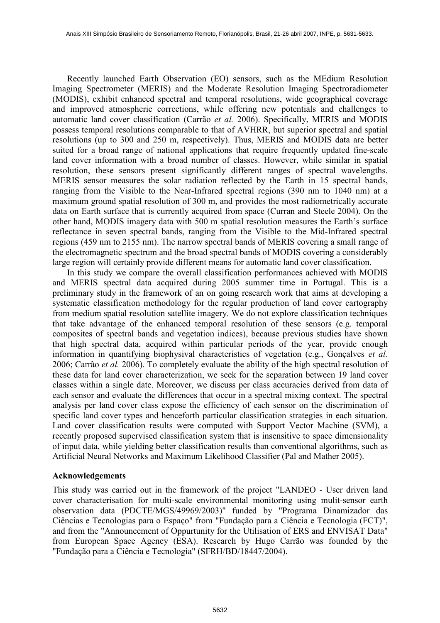Recently launched Earth Observation (EO) sensors, such as the MEdium Resolution Imaging Spectrometer (MERIS) and the Moderate Resolution Imaging Spectroradiometer (MODIS), exhibit enhanced spectral and temporal resolutions, wide geographical coverage and improved atmospheric corrections, while offering new potentials and challenges to automatic land cover classification (Carrão et al. 2006). Specifically, MERIS and MODIS possess temporal resolutions comparable to that of AVHRR, but superior spectral and spatial resolutions (up to 300 and 250 m, respectively). Thus, MERIS and MODIS data are better suited for a broad range of national applications that require frequently updated fine-scale land cover information with a broad number of classes. However, while similar in spatial resolution, these sensors present significantly different ranges of spectral wavelengths. MERIS sensor measures the solar radiation reflected by the Earth in 15 spectral bands, ranging from the Visible to the Near-Infrared spectral regions (390 nm to 1040 nm) at a maximum ground spatial resolution of 300 m, and provides the most radiometrically accurate data on Earth surface that is currently acquired from space (Curran and Steele 2004). On the other hand, MODIS imagery data with 500 m spatial resolution measures the Earth's surface reflectance in seven spectral bands, ranging from the Visible to the Mid-Infrared spectral regions (459 nm to 2155 nm). The narrow spectral bands of MERIS covering a small range of the electromagnetic spectrum and the broad spectral bands of MODIS covering a considerably large region will certainly provide different means for automatic land cover classification.

In this study we compare the overall classification performances achieved with MODIS and MERIS spectral data acquired during 2005 summer time in Portugal. This is a preliminary study in the framework of an on going research work that aims at developing a systematic classification methodology for the regular production of land cover cartography from medium spatial resolution satellite imagery. We do not explore classification techniques that take advantage of the enhanced temporal resolution of these sensors (e.g. temporal composites of spectral bands and vegetation indices), because previous studies have shown that high spectral data, acquired within particular periods of the year, provide enough information in quantifying biophysival characteristics of vegetation (e.g., Gonçalves et al. 2006; Carrão et al. 2006). To completely evaluate the ability of the high spectral resolution of these data for land cover characterization, we seek for the separation between 19 land cover classes within a single date. Moreover, we discuss per class accuracies derived from data of each sensor and evaluate the differences that occur in a spectral mixing context. The spectral analysis per land cover class expose the efficiency of each sensor on the discrimination of specific land cover types and henceforth particular classification strategies in each situation. Land cover classification results were computed with Support Vector Machine (SVM), a recently proposed supervised classification system that is insensitive to space dimensionality of input data, while yielding better classification results than conventional algorithms, such as Artificial Neural Networks and Maximum Likelihood Classifier (Pal and Mather 2005).

#### Acknowledgements

This study was carried out in the framework of the project "LANDEO - User driven land cover characterisation for multi-scale environmental monitoring using mulit-sensor earth observation data (PDCTE/MGS/49969/2003)" funded by "Programa Dinamizador das Ciências e Tecnologias para o Espaço" from "Fundação para a Ciência e Tecnologia (FCT)", and from the "Announcement of Oppurtunity for the Utilisation of ERS and ENVISAT Data" from European Space Agency (ESA). Research by Hugo Carrão was founded by the "Fundação para a Ciência e Tecnologia" (SFRH/BD/18447/2004).